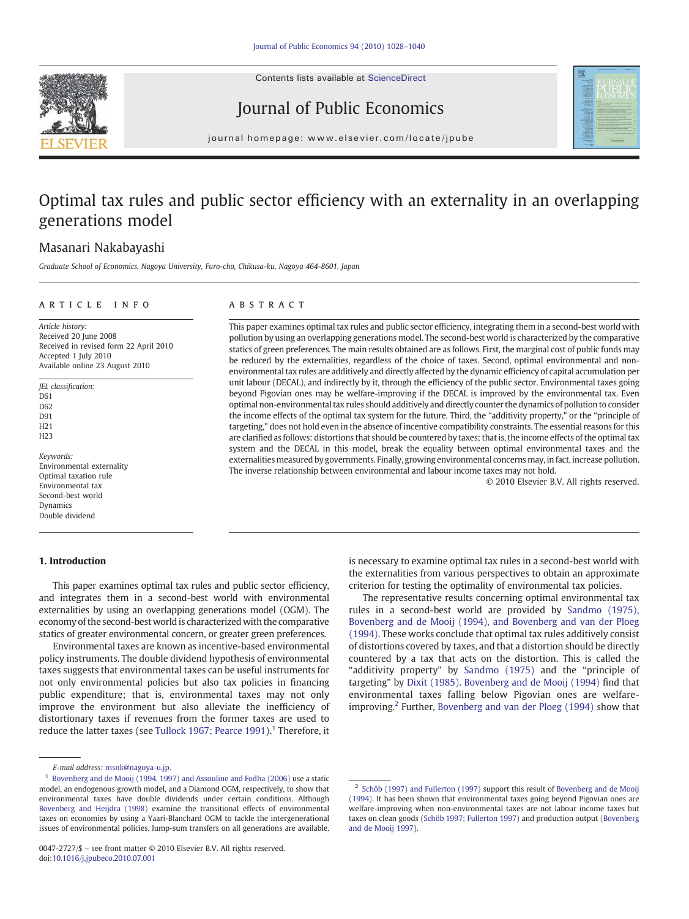Contents lists available at ScienceDirect





## Journal of Public Economics

journal homepage: www.elsevier.com/locate/jpube

## Optimal tax rules and public sector efficiency with an externality in an overlapping generations model

### Masanari Nakabayashi

Graduate School of Economics, Nagoya University, Furo-cho, Chikusa-ku, Nagoya 464-8601, Japan

#### ARTICLE INFO ABSTRACT

Article history: Received 20 June 2008 Received in revised form 22 April 2010 Accepted 1 July 2010 Available online 23 August 2010

JEL classification: D61 D62 D91 H21 H23

Keywords: Environmental externality Optimal taxation rule Environmental tax Second-best world Dynamics Double dividend

#### 1. Introduction

environmental tax rules are additively and directly affected by the dynamic efficiency of capital accumulation per unit labour (DECAL), and indirectly by it, through the efficiency of the public sector. Environmental taxes going beyond Pigovian ones may be welfare-improving if the DECAL is improved by the environmental tax. Even optimal non-environmental tax rules should additively and directly counter the dynamics of pollution to consider the income effects of the optimal tax system for the future. Third, the "additivity property," or the "principle of targeting," does not hold even in the absence of incentive compatibility constraints. The essential reasons for this are clarified as follows: distortions that should be countered by taxes; that is, the income effects of the optimal tax system and the DECAL in this model, break the equality between optimal environmental taxes and the externalities measured by governments. Finally, growing environmental concerns may, in fact, increase pollution. The inverse relationship between environmental and labour income taxes may not hold.

> is necessary to examine optimal tax rules in a second-best world with the externalities from various perspectives to obtain an approximate criterion for testing the optimality of environmental tax policies.

© 2010 Elsevier B.V. All rights reserved.

This paper examines optimal tax rules and public sector efficiency, integrating them in a second-best world with pollution by using an overlapping generations model. The second-best world is characterized by the comparative statics of green preferences. The main results obtained are as follows. First, the marginal cost of public funds may be reduced by the externalities, regardless of the choice of taxes. Second, optimal environmental and non-

> The representative results concerning optimal environmental tax rules in a second-best world are provided by [Sandmo \(1975\),](#page--1-0) [Bovenberg and de Mooij \(1994\), and Bovenberg and van der Ploeg](#page--1-0) [\(1994\).](#page--1-0) These works conclude that optimal tax rules additively consist of distortions covered by taxes, and that a distortion should be directly countered by a tax that acts on the distortion. This is called the "additivity property" by [Sandmo \(1975\)](#page--1-0) and the "principle of targeting" by [Dixit \(1985\)](#page--1-0). [Bovenberg and de Mooij \(1994\)](#page--1-0) find that environmental taxes falling below Pigovian ones are welfareimproving.2 Further, [Bovenberg and van der Ploeg \(1994\)](#page--1-0) show that

This paper examines optimal tax rules and public sector efficiency, and integrates them in a second-best world with environmental externalities by using an overlapping generations model (OGM). The economy of the second-best world is characterized with the comparative statics of greater environmental concern, or greater green preferences. Environmental taxes are known as incentive-based environmental policy instruments. The double dividend hypothesis of environmental taxes suggests that environmental taxes can be useful instruments for not only environmental policies but also tax policies in financing public expenditure; that is, environmental taxes may not only improve the environment but also alleviate the inefficiency of distortionary taxes if revenues from the former taxes are used to reduce the latter taxes (see [Tullock 1967; Pearce 1991\)](#page--1-0).<sup>1</sup> Therefore, it

E-mail address: [msnk@nagoya-u.jp](mailto:msnk@nagoya-u.jp).

<sup>&</sup>lt;sup>1</sup> [Bovenberg and de Mooij \(1994, 1997\) and Assouline and Fodha \(2006\)](#page--1-0) use a static model, an endogenous growth model, and a Diamond OGM, respectively, to show that environmental taxes have double dividends under certain conditions. Although [Bovenberg and Heijdra \(1998\)](#page--1-0) examine the transitional effects of environmental taxes on economies by using a Yaari-Blanchard OGM to tackle the intergenerational issues of environmental policies, lump-sum transfers on all generations are available.

<sup>&</sup>lt;sup>2</sup> [Schöb \(1997\) and Fullerton \(1997\)](#page--1-0) support this result of [Bovenberg and de Mooij](#page--1-0) [\(1994\).](#page--1-0) It has been shown that environmental taxes going beyond Pigovian ones are welfare-improving when non-environmental taxes are not labour income taxes but taxes on clean goods [\(Schöb 1997; Fullerton 1997\)](#page--1-0) and production output ([Bovenberg](#page--1-0) [and de Mooij 1997\)](#page--1-0).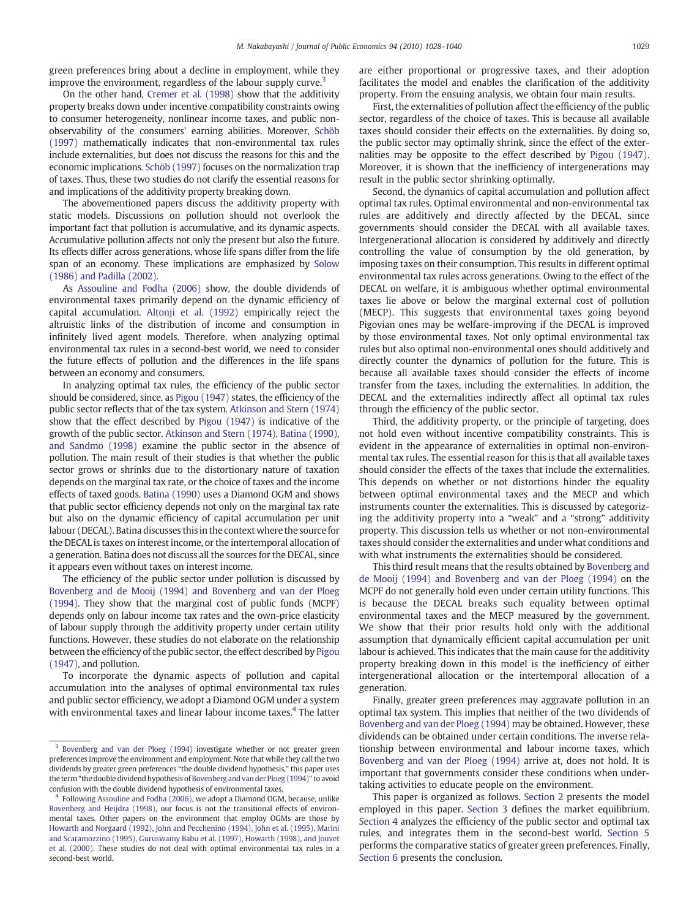green preferences bring about a decline in employment, while they improve the environment, regardless of the labour supply curve.<sup>3</sup>

On the other hand, [Cremer et al. \(1998\)](#page--1-0) show that the additivity property breaks down under incentive compatibility constraints owing to consumer heterogeneity, nonlinear income taxes, and public nonobservability of the consumers' earning abilities. Moreover, [Schöb](#page--1-0) [\(1997\)](#page--1-0) mathematically indicates that non-environmental tax rules include externalities, but does not discuss the reasons for this and the economic implications. [Schöb \(1997\)](#page--1-0) focuses on the normalization trap of taxes. Thus, these two studies do not clarify the essential reasons for and implications of the additivity property breaking down.

The abovementioned papers discuss the additivity property with static models. Discussions on pollution should not overlook the important fact that pollution is accumulative, and its dynamic aspects. Accumulative pollution affects not only the present but also the future. Its effects differ across generations, whose life spans differ from the life span of an economy. These implications are emphasized by [Solow](#page--1-0) [\(1986\) and Padilla \(2002\)](#page--1-0).

As [Assouline and Fodha \(2006\)](#page--1-0) show, the double dividends of environmental taxes primarily depend on the dynamic efficiency of capital accumulation. [Altonji et al. \(1992\)](#page--1-0) empirically reject the altruistic links of the distribution of income and consumption in infinitely lived agent models. Therefore, when analyzing optimal environmental tax rules in a second-best world, we need to consider the future effects of pollution and the differences in the life spans between an economy and consumers.

In analyzing optimal tax rules, the efficiency of the public sector should be considered, since, as [Pigou \(1947\)](#page--1-0) states, the efficiency of the public sector reflects that of the tax system. [Atkinson and Stern \(1974\)](#page--1-0) show that the effect described by [Pigou \(1947\)](#page--1-0) is indicative of the growth of the public sector. [Atkinson and Stern \(1974\), Batina \(1990\),](#page--1-0) [and Sandmo \(1998\)](#page--1-0) examine the public sector in the absence of pollution. The main result of their studies is that whether the public sector grows or shrinks due to the distortionary nature of taxation depends on the marginal tax rate, or the choice of taxes and the income effects of taxed goods. [Batina \(1990\)](#page--1-0) uses a Diamond OGM and shows that public sector efficiency depends not only on the marginal tax rate but also on the dynamic efficiency of capital accumulation per unit labour (DECAL). Batina discusses this in the context where the source for the DECAL is taxes on interest income, or the intertemporal allocation of a generation. Batina does not discuss all the sources for the DECAL, since it appears even without taxes on interest income.

The efficiency of the public sector under pollution is discussed by [Bovenberg and de Mooij \(1994\) and Bovenberg and van der Ploeg](#page--1-0) [\(1994\)](#page--1-0). They show that the marginal cost of public funds (MCPF) depends only on labour income tax rates and the own-price elasticity of labour supply through the additivity property under certain utility functions. However, these studies do not elaborate on the relationship between the efficiency of the public sector, the effect described by [Pigou](#page--1-0) [\(1947\)](#page--1-0), and pollution.

To incorporate the dynamic aspects of pollution and capital accumulation into the analyses of optimal environmental tax rules and public sector efficiency, we adopt a Diamond OGM under a system with environmental taxes and linear labour income taxes.<sup>4</sup> The latter are either proportional or progressive taxes, and their adoption facilitates the model and enables the clarification of the additivity property. From the ensuing analysis, we obtain four main results.

First, the externalities of pollution affect the efficiency of the public sector, regardless of the choice of taxes. This is because all available taxes should consider their effects on the externalities. By doing so, the public sector may optimally shrink, since the effect of the externalities may be opposite to the effect described by [Pigou \(1947\).](#page--1-0) Moreover, it is shown that the inefficiency of intergenerations may result in the public sector shrinking optimally.

Second, the dynamics of capital accumulation and pollution affect optimal tax rules. Optimal environmental and non-environmental tax rules are additively and directly affected by the DECAL, since governments should consider the DECAL with all available taxes. Intergenerational allocation is considered by additively and directly controlling the value of consumption by the old generation, by imposing taxes on their consumption. This results in different optimal environmental tax rules across generations. Owing to the effect of the DECAL on welfare, it is ambiguous whether optimal environmental taxes lie above or below the marginal external cost of pollution (MECP). This suggests that environmental taxes going beyond Pigovian ones may be welfare-improving if the DECAL is improved by those environmental taxes. Not only optimal environmental tax rules but also optimal non-environmental ones should additively and directly counter the dynamics of pollution for the future. This is because all available taxes should consider the effects of income transfer from the taxes, including the externalities. In addition, the DECAL and the externalities indirectly affect all optimal tax rules through the efficiency of the public sector.

Third, the additivity property, or the principle of targeting, does not hold even without incentive compatibility constraints. This is evident in the appearance of externalities in optimal non-environmental tax rules. The essential reason for this is that all available taxes should consider the effects of the taxes that include the externalities. This depends on whether or not distortions hinder the equality between optimal environmental taxes and the MECP and which instruments counter the externalities. This is discussed by categorizing the additivity property into a "weak" and a "strong" additivity property. This discussion tells us whether or not non-environmental taxes should consider the externalities and under what conditions and with what instruments the externalities should be considered.

This third result means that the results obtained by [Bovenberg and](#page--1-0) [de Mooij \(1994\) and Bovenberg and van der Ploeg \(1994\)](#page--1-0) on the MCPF do not generally hold even under certain utility functions. This is because the DECAL breaks such equality between optimal environmental taxes and the MECP measured by the government. We show that their prior results hold only with the additional assumption that dynamically efficient capital accumulation per unit labour is achieved. This indicates that the main cause for the additivity property breaking down in this model is the inefficiency of either intergenerational allocation or the intertemporal allocation of a generation.

Finally, greater green preferences may aggravate pollution in an optimal tax system. This implies that neither of the two dividends of [Bovenberg and van der Ploeg \(1994\)](#page--1-0) may be obtained. However, these dividends can be obtained under certain conditions. The inverse relationship between environmental and labour income taxes, which [Bovenberg and van der Ploeg \(1994\)](#page--1-0) arrive at, does not hold. It is important that governments consider these conditions when undertaking activities to educate people on the environment.

This paper is organized as follows. [Section 2](#page--1-0) presents the model employed in this paper. [Section 3](#page--1-0) defines the market equilibrium. [Section 4](#page--1-0) analyzes the efficiency of the public sector and optimal tax rules, and integrates them in the second-best world. [Section 5](#page--1-0) performs the comparative statics of greater green preferences. Finally, [Section 6](#page--1-0) presents the conclusion.

<sup>&</sup>lt;sup>3</sup> [Bovenberg and van der Ploeg \(1994\)](#page--1-0) investigate whether or not greater green preferences improve the environment and employment. Note that while they call the two dividends by greater green preferences "the double dividend hypothesis," this paper uses the term "the double dividend hypothesis of [Bovenberg and van der Ploeg \(1994\)](#page--1-0)" to avoid confusion with the double dividend hypothesis of environmental taxes.

<sup>4</sup> Following [Assouline and Fodha \(2006\)](#page--1-0), we adopt a Diamond OGM, because, unlike [Bovenberg and Heijdra \(1998\),](#page--1-0) our focus is not the transitional effects of environmental taxes. Other papers on the environment that employ OGMs are those by [Howarth and Norgaard \(1992\), John and Pecchenino \(1994\), John et al. \(1995\), Marini](#page--1-0) [and Scaramozzino \(1995\), Guruswamy Babu et al. \(1997\), Howarth \(1998\), and Jouvet](#page--1-0) [et al. \(2000\).](#page--1-0) These studies do not deal with optimal environmental tax rules in a second-best world.